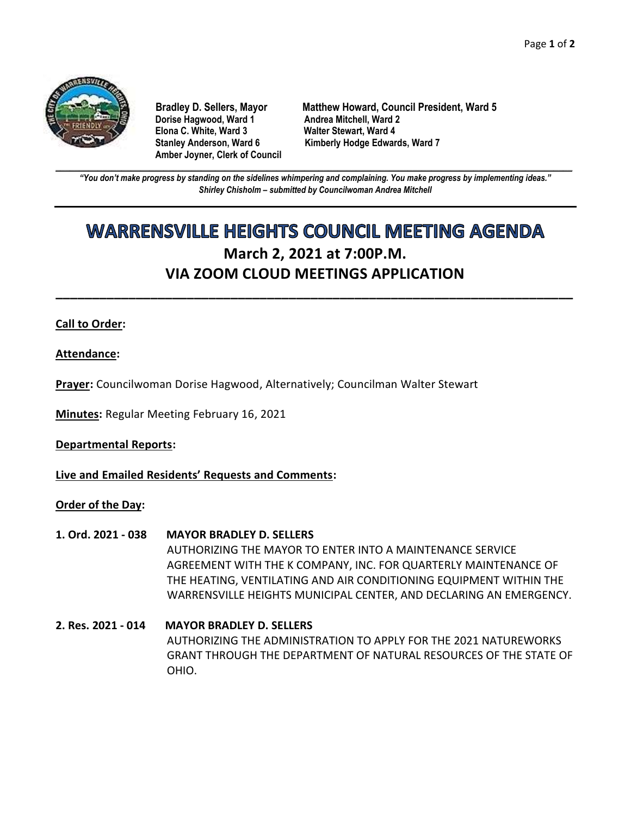

**Dorise Hagwood, Ward 1 Elona C. White, Ward 3 Walter Stewart, Ward 4 Amber Joyner, Clerk of Council**

**Bradley D. Sellers, Mayor Matthew Howard, Council President, Ward 5** Stanley Anderson, Ward 6 Kimberly Hodge Edwards, Ward 7

**\_\_\_\_\_\_\_\_\_\_\_\_\_\_\_\_\_\_\_\_\_\_\_\_\_\_\_\_\_\_\_\_\_\_\_\_\_\_\_\_\_\_\_\_\_\_\_\_\_\_\_\_\_\_\_\_\_\_\_\_\_\_\_\_\_\_\_\_\_\_\_\_\_\_\_\_\_\_\_\_\_\_\_\_\_\_\_\_\_\_\_\_\_\_\_\_\_\_\_\_\_\_\_\_\_\_\_\_\_\_** *"You don't make progress by standing on the sidelines whimpering and complaining. You make progress by implementing ideas." Shirley Chisholm – submitted by Councilwoman Andrea Mitchell*

# **WARRENSVILLE HEIGHTS COUNCIL MEETING AGENDA March 2, 2021 at 7:00P.M. VIA ZOOM CLOUD MEETINGS APPLICATION**

**\_\_\_\_\_\_\_\_\_\_\_\_\_\_\_\_\_\_\_\_\_\_\_\_\_\_\_\_\_\_\_\_\_\_\_\_\_\_\_\_\_\_\_\_\_\_\_\_\_\_\_\_\_\_\_\_\_\_\_\_\_\_\_\_\_\_\_\_\_\_\_**

# **Call to Order:**

**Attendance:**

**Prayer:** Councilwoman Dorise Hagwood, Alternatively; Councilman Walter Stewart

**Minutes:** Regular Meeting February 16, 2021

**Departmental Reports:**

**Live and Emailed Residents' Requests and Comments:**

### **Order of the Day:**

- **1. Ord. 2021 - 038 MAYOR BRADLEY D. SELLERS** AUTHORIZING THE MAYOR TO ENTER INTO A MAINTENANCE SERVICE AGREEMENT WITH THE K COMPANY, INC. FOR QUARTERLY MAINTENANCE OF THE HEATING, VENTILATING AND AIR CONDITIONING EQUIPMENT WITHIN THE WARRENSVILLE HEIGHTS MUNICIPAL CENTER, AND DECLARING AN EMERGENCY.
- **2. Res. 2021 - 014 MAYOR BRADLEY D. SELLERS** AUTHORIZING THE ADMINISTRATION TO APPLY FOR THE 2021 NATUREWORKS GRANT THROUGH THE DEPARTMENT OF NATURAL RESOURCES OF THE STATE OF OHIO.